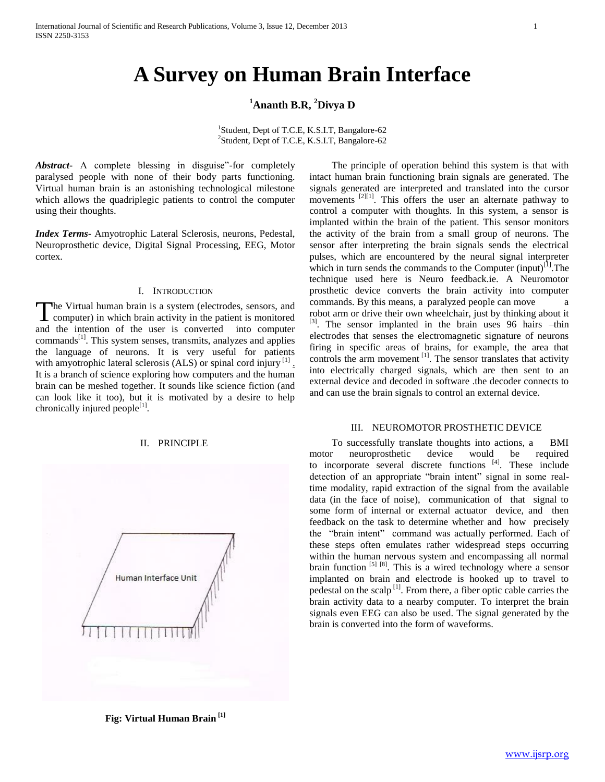# **<sup>1</sup>Ananth B.R, <sup>2</sup>Divya D**

<sup>1</sup>Student, Dept of T.C.E, K.S.I.T, Bangalore-62 2 Student, Dept of T.C.E, K.S.I.T, Bangalore-62

*Abstract***-** A complete blessing in disguise"-for completely paralysed people with none of their body parts functioning. Virtual human brain is an astonishing technological milestone which allows the quadriplegic patients to control the computer using their thoughts.

*Index Terms*- Amyotrophic Lateral Sclerosis, neurons, Pedestal, Neuroprosthetic device, Digital Signal Processing, EEG, Motor cortex.

## I. INTRODUCTION

he Virtual human brain is a system (electrodes, sensors, and The Virtual human brain is a system (electrodes, sensors, and computer) in which brain activity in the patient is monitored and the intention of the user is converted into computer  $commands<sup>[1]</sup>$ . This system senses, transmits, analyzes and applies the language of neurons. It is very useful for patients with amyotrophic lateral sclerosis (ALS) or spinal cord injury  $^{[1]}$ . It is a branch of science exploring how computers and the human brain can be meshed together. It sounds like science fiction (and can look like it too), but it is motivated by a desire to help chronically injured people $^{[1]}$ .

# II. PRINCIPLE



intact human brain functioning brain signals are generated. The signals generated are interpreted and translated into the cursor movements <sup>[2][1]</sup>. This offers the user an alternate pathway to control a computer with thoughts. In this system, a sensor is implanted within the brain of the patient. This sensor monitors the activity of the brain from a small group of neurons. The sensor after interpreting the brain signals sends the electrical pulses, which are encountered by the neural signal interpreter which in turn sends the commands to the Computer  $(inyut)^{[1]}$ . The technique used here is Neuro feedback.ie. A Neuromotor prosthetic device converts the brain activity into computer commands. By this means, a paralyzed people can move a robot arm or drive their own wheelchair, just by thinking about it <sup>[3]</sup>. The sensor implanted in the brain uses 96 hairs –thin electrodes that senses the electromagnetic signature of neurons firing in specific areas of brains, for example, the area that controls the arm movement <sup>[1]</sup>. The sensor translates that activity into electrically charged signals, which are then sent to an external device and decoded in software .the decoder connects to and can use the brain signals to control an external device.

The principle of operation behind this system is that with

#### III. NEUROMOTOR PROSTHETIC DEVICE

 To successfully translate thoughts into actions, a BMI motor neuroprosthetic device would be required to incorporate several discrete functions [4]. These include detection of an appropriate "brain intent" signal in some realtime modality, rapid extraction of the signal from the available data (in the face of noise), communication of that signal to some form of internal or external actuator device, and then feedback on the task to determine whether and how precisely the "brain intent" command was actually performed. Each of these steps often emulates rather widespread steps occurring within the human nervous system and encompassing all normal brain function  $\left[5\right]$   $\left[8\right]$ . This is a wired technology where a sensor implanted on brain and electrode is hooked up to travel to pedestal on the scalp  $\left[1\right]$ . From there, a fiber optic cable carries the brain activity data to a nearby computer. To interpret the brain signals even EEG can also be used. The signal generated by the brain is converted into the form of waveforms.

**Fig: Virtual Human Brain [1]**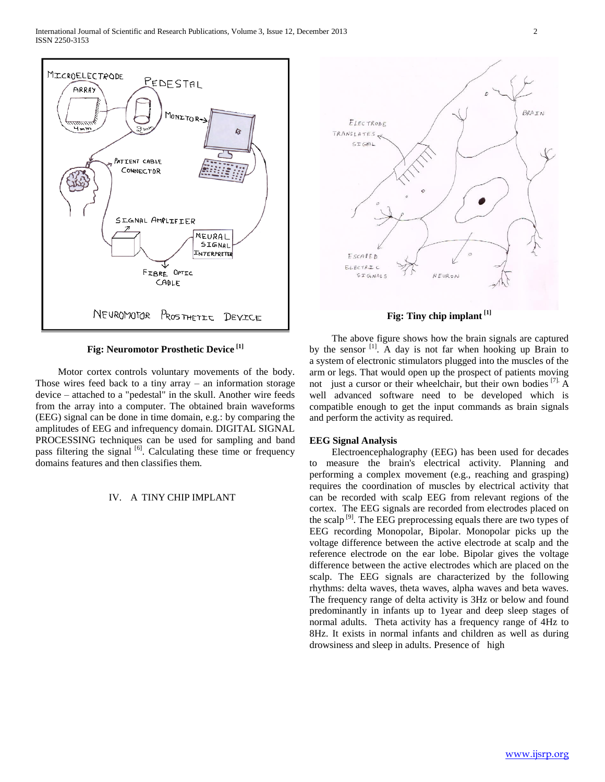

**Fig: Neuromotor Prosthetic Device [1]**

 Motor cortex controls voluntary movements of the body. Those wires feed back to a tiny array  $-$  an information storage device – attached to a "pedestal" in the skull. Another wire feeds from the array into a computer. The obtained brain waveforms (EEG) signal can be done in time domain, e.g.: by comparing the amplitudes of EEG and infrequency domain. DIGITAL SIGNAL PROCESSING techniques can be used for sampling and band pass filtering the signal [6]. Calculating these time or frequency domains features and then classifies them.

### IV. A TINY CHIP IMPLANT



**Fig: Tiny chip implant [1]**

 The above figure shows how the brain signals are captured by the sensor <sup>[1]</sup>. A day is not far when hooking up Brain to a system of electronic stimulators plugged into the muscles of the arm or legs. That would open up the prospect of patients moving not just a cursor or their wheelchair, but their own bodies  $^{[7]}$ . A well advanced software need to be developed which is compatible enough to get the input commands as brain signals and perform the activity as required.

# **EEG Signal Analysis**

 Electroencephalography (EEG) has been used for decades measure the brain's electrical activity. Planning and performing a complex movement (e.g., reaching and grasping) requires the coordination of muscles by electrical activity that can be recorded with scalp EEG from relevant regions of the cortex. The EEG signals are recorded from electrodes placed on the scalp  $^{[9]}$ . The EEG preprocessing equals there are two types of EEG recording Monopolar, Bipolar. Monopolar picks up the voltage difference between the active electrode at scalp and the reference electrode on the ear lobe. Bipolar gives the voltage difference between the active electrodes which are placed on the scalp. The EEG signals are characterized by the following rhythms: delta waves, theta waves, alpha waves and beta waves. The frequency range of delta activity is 3Hz or below and found predominantly in infants up to 1year and deep sleep stages of normal adults. Theta activity has a frequency range of 4Hz to 8Hz. It exists in normal infants and children as well as during drowsiness and sleep in adults. Presence of high